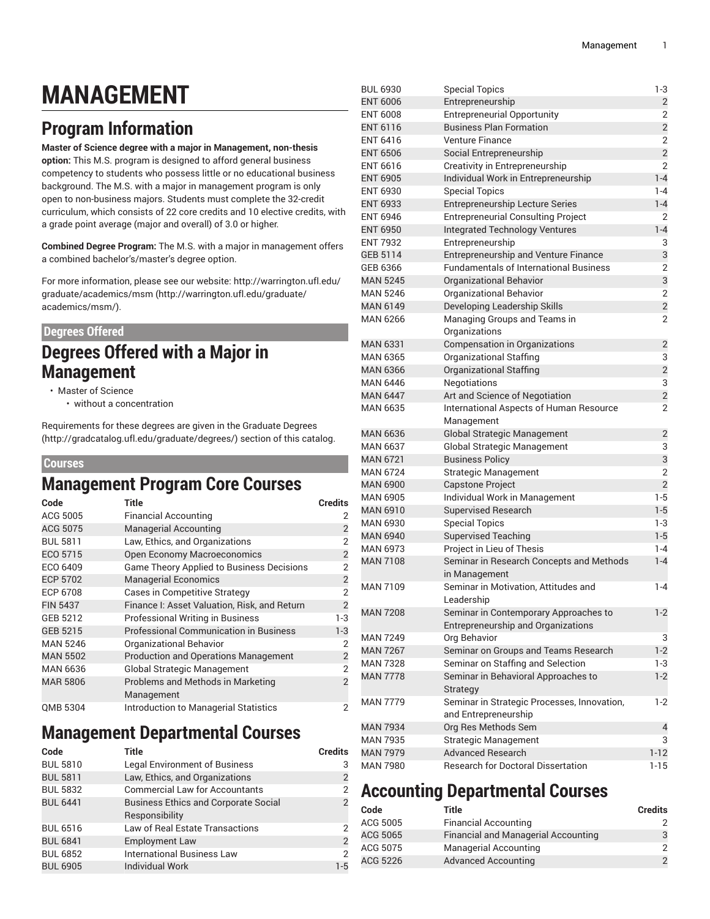# **MANAGEMENT**

# **Program Information**

**Master of Science degree with a major in Management, non-thesis option:** This M.S. program is designed to afford general business competency to students who possess little or no educational business background. The M.S. with a major in management program is only open to non-business majors. Students must complete the 32-credit curriculum, which consists of 22 core credits and 10 elective credits, with a grade point average (major and overall) of 3.0 or higher.

**Combined Degree Program:** The M.S. with a major in management offers a combined bachelor's/master's degree option.

For more information, please see our website: [http://warrington.ufl.edu/](http://warrington.ufl.edu/graduate/academics/msm/) [graduate/academics/msm](http://warrington.ufl.edu/graduate/academics/msm/) ([http://warrington.ufl.edu/graduate/](http://warrington.ufl.edu/graduate/academics/msm/) [academics/msm/](http://warrington.ufl.edu/graduate/academics/msm/)).

#### **Degrees Offered**

### **Degrees Offered with a Major in Management**

- Master of Science
	- without a concentration

Requirements for these degrees are given in the [Graduate](http://gradcatalog.ufl.edu/graduate/degrees/) Degrees ([http://gradcatalog.ufl.edu/graduate/degrees/\)](http://gradcatalog.ufl.edu/graduate/degrees/) section of this catalog.

#### **Courses**

#### **Management Program Core Courses**

| Code            | <b>Title</b>                                     | <b>Credits</b> |
|-----------------|--------------------------------------------------|----------------|
| ACG 5005        | <b>Financial Accounting</b>                      | 2              |
| ACG 5075        | <b>Managerial Accounting</b>                     | $\overline{2}$ |
| <b>BUL 5811</b> | Law, Ethics, and Organizations                   | $\overline{2}$ |
| ECO 5715        | <b>Open Economy Macroeconomics</b>               | $\overline{2}$ |
| ECO 6409        | <b>Game Theory Applied to Business Decisions</b> | $\overline{2}$ |
| <b>ECP 5702</b> | <b>Managerial Economics</b>                      | $\overline{c}$ |
| ECP 6708        | <b>Cases in Competitive Strategy</b>             | $\overline{2}$ |
| <b>FIN 5437</b> | Finance I: Asset Valuation, Risk, and Return     | $\overline{2}$ |
| GEB 5212        | <b>Professional Writing in Business</b>          | 1-3            |
| GEB 5215        | <b>Professional Communication in Business</b>    | $1 - 3$        |
| <b>MAN 5246</b> | Organizational Behavior                          | 2              |
| <b>MAN 5502</b> | <b>Production and Operations Management</b>      | $\overline{2}$ |
| <b>MAN 6636</b> | <b>Global Strategic Management</b>               | $\overline{2}$ |
| <b>MAR 5806</b> | Problems and Methods in Marketing<br>Management  | $\overline{2}$ |
| QMB 5304        | Introduction to Managerial Statistics            | 2              |

### **Management Departmental Courses**

| Code            | Title                                       | <b>Credits</b> |
|-----------------|---------------------------------------------|----------------|
| <b>BUL 5810</b> | <b>Legal Environment of Business</b>        | 3              |
| <b>BUL 5811</b> | Law, Ethics, and Organizations              | $\overline{2}$ |
| <b>BUL 5832</b> | <b>Commercial Law for Accountants</b>       | $\overline{2}$ |
| <b>BUL 6441</b> | <b>Business Ethics and Corporate Social</b> | $\overline{2}$ |
|                 | Responsibility                              |                |
| <b>BUL 6516</b> | <b>Law of Real Estate Transactions</b>      | 2              |
| <b>BUL 6841</b> | <b>Employment Law</b>                       | $\overline{2}$ |
| <b>BUL 6852</b> | <b>International Business Law</b>           | $\overline{2}$ |
| <b>BUL 6905</b> | <b>Individual Work</b>                      | $1-5$          |

| <b>BUL 6930</b> | <b>Special Topics</b>                         | $1-3$          |
|-----------------|-----------------------------------------------|----------------|
| <b>ENT 6006</b> | Entrepreneurship                              | 2              |
| <b>ENT 6008</b> | <b>Entrepreneurial Opportunity</b>            | 2              |
| <b>ENT 6116</b> | <b>Business Plan Formation</b>                | $\overline{2}$ |
| <b>ENT 6416</b> | <b>Venture Finance</b>                        | $\overline{2}$ |
| <b>ENT 6506</b> | Social Entrepreneurship                       | $\overline{c}$ |
| <b>ENT 6616</b> | Creativity in Entrepreneurship                | $\overline{2}$ |
| <b>ENT 6905</b> | Individual Work in Entrepreneurship           | $1 - 4$        |
| <b>ENT 6930</b> | <b>Special Topics</b>                         | $1 - 4$        |
| <b>ENT 6933</b> | <b>Entrepreneurship Lecture Series</b>        | $1 - 4$        |
| <b>ENT 6946</b> | <b>Entrepreneurial Consulting Project</b>     | 2              |
| <b>ENT 6950</b> | <b>Integrated Technology Ventures</b>         | $1 - 4$        |
| <b>ENT 7932</b> | Entrepreneurship                              | 3              |
| GEB 5114        | Entrepreneurship and Venture Finance          | 3              |
| GEB 6366        | <b>Fundamentals of International Business</b> | 2              |
| <b>MAN 5245</b> | Organizational Behavior                       | 3              |
| <b>MAN 5246</b> | Organizational Behavior                       | $\overline{2}$ |
| <b>MAN 6149</b> | Developing Leadership Skills                  | $\overline{c}$ |
| <b>MAN 6266</b> | Managing Groups and Teams in                  | $\overline{2}$ |
|                 | Organizations                                 |                |
| <b>MAN 6331</b> | <b>Compensation in Organizations</b>          | $\overline{2}$ |
| <b>MAN 6365</b> | <b>Organizational Staffing</b>                | 3              |
| <b>MAN 6366</b> | <b>Organizational Staffing</b>                | $\overline{2}$ |
| <b>MAN 6446</b> | <b>Negotiations</b>                           | 3              |
| <b>MAN 6447</b> | Art and Science of Negotiation                | $\overline{c}$ |
| <b>MAN 6635</b> | International Aspects of Human Resource       | 2              |
|                 | Management                                    |                |
| <b>MAN 6636</b> | <b>Global Strategic Management</b>            | $\overline{2}$ |
| <b>MAN 6637</b> | Global Strategic Management                   | 3              |
| <b>MAN 6721</b> | <b>Business Policy</b>                        | 3              |
| <b>MAN 6724</b> | <b>Strategic Management</b>                   | $\overline{2}$ |
| <b>MAN 6900</b> | <b>Capstone Project</b>                       | $\overline{c}$ |
| <b>MAN 6905</b> | Individual Work in Management                 | $1-5$          |
| <b>MAN 6910</b> | <b>Supervised Research</b>                    | $1 - 5$        |
| <b>MAN 6930</b> | <b>Special Topics</b>                         | $1-3$          |
| <b>MAN 6940</b> | <b>Supervised Teaching</b>                    | $1-5$          |
| <b>MAN 6973</b> | Project in Lieu of Thesis                     | $1 - 4$        |
| <b>MAN 7108</b> | Seminar in Research Concepts and Methods      | $1 - 4$        |
|                 | in Management                                 |                |
| <b>MAN 7109</b> | Seminar in Motivation, Attitudes and          | $1 - 4$        |
|                 | Leadership                                    |                |
| <b>MAN 7208</b> | Seminar in Contemporary Approaches to         | $1 - 2$        |
|                 | Entrepreneurship and Organizations            |                |
| <b>MAN 7249</b> | Org Behavior                                  | 3              |
| <b>MAN 7267</b> | Seminar on Groups and Teams Research          | $1 - 2$        |
| <b>MAN 7328</b> | Seminar on Staffing and Selection             | 1-3            |
| <b>MAN 7778</b> | Seminar in Behavioral Approaches to           | $1-2$          |
|                 | Strategy                                      |                |
| <b>MAN 7779</b> | Seminar in Strategic Processes, Innovation,   | $1-2$          |
|                 | and Entrepreneurship                          |                |
| <b>MAN 7934</b> | Org Res Methods Sem                           | 4              |
| <b>MAN 7935</b> | <b>Strategic Management</b>                   | 3              |
| <b>MAN 7979</b> | <b>Advanced Research</b>                      | $1 - 12$       |
| <b>MAN 7980</b> | <b>Research for Doctoral Dissertation</b>     | $1 - 15$       |

### **Accounting Departmental Courses**

| Code     | Title                               | <b>Credits</b> |
|----------|-------------------------------------|----------------|
| ACG 5005 | <b>Financial Accounting</b>         |                |
| ACG 5065 | Financial and Managerial Accounting |                |
| ACG 5075 | <b>Managerial Accounting</b>        |                |
| ACG 5226 | <b>Advanced Accounting</b>          |                |
|          |                                     |                |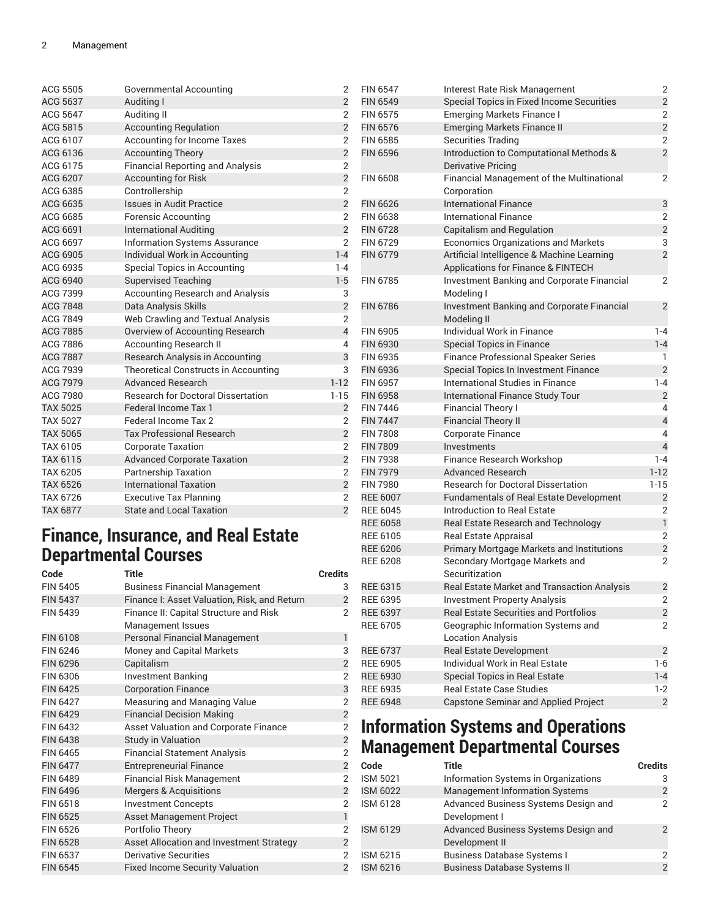| ACG 5505        | Governmental Accounting                   | $\overline{2}$          |
|-----------------|-------------------------------------------|-------------------------|
| ACG 5637        | Auditing I                                | $\overline{c}$          |
| ACG 5647        | Auditing II                               | $\overline{2}$          |
| ACG 5815        | <b>Accounting Regulation</b>              | $\overline{c}$          |
| ACG 6107        | <b>Accounting for Income Taxes</b>        | 2                       |
| ACG 6136        | <b>Accounting Theory</b>                  | $\overline{c}$          |
| ACG 6175        | <b>Financial Reporting and Analysis</b>   | $\overline{2}$          |
| ACG 6207        | <b>Accounting for Risk</b>                | $\overline{c}$          |
| ACG 6385        | Controllership                            | $\overline{2}$          |
| ACG 6635        | <b>Issues in Audit Practice</b>           | $\overline{c}$          |
| ACG 6685        | Forensic Accounting                       | $\overline{2}$          |
| ACG 6691        | <b>International Auditing</b>             | $\overline{2}$          |
| ACG 6697        | <b>Information Systems Assurance</b>      | $\overline{2}$          |
| ACG 6905        | Individual Work in Accounting             | $1 - 4$                 |
| ACG 6935        | Special Topics in Accounting              | $1 - 4$                 |
| <b>ACG 6940</b> | <b>Supervised Teaching</b>                | $1 - 5$                 |
| ACG 7399        | <b>Accounting Research and Analysis</b>   | 3                       |
| <b>ACG 7848</b> | Data Analysis Skills                      | $\overline{c}$          |
| ACG 7849        | Web Crawling and Textual Analysis         | $\overline{c}$          |
| <b>ACG 7885</b> | Overview of Accounting Research           | $\overline{\mathbf{4}}$ |
| ACG 7886        | <b>Accounting Research II</b>             | 4                       |
| <b>ACG 7887</b> | Research Analysis in Accounting           | 3                       |
| ACG 7939        | Theoretical Constructs in Accounting      | 3                       |
| <b>ACG 7979</b> | <b>Advanced Research</b>                  | $1 - 12$                |
| ACG 7980        | <b>Research for Doctoral Dissertation</b> | $1 - 15$                |
| <b>TAX 5025</b> | Federal Income Tax 1                      | $\overline{2}$          |
| <b>TAX 5027</b> | Federal Income Tax 2                      | $\overline{2}$          |
| <b>TAX 5065</b> | <b>Tax Professional Research</b>          | $\overline{c}$          |
| TAX 6105        | <b>Corporate Taxation</b>                 | $\overline{2}$          |
| TAX 6115        | <b>Advanced Corporate Taxation</b>        | $\overline{c}$          |
| <b>TAX 6205</b> | <b>Partnership Taxation</b>               | $\overline{2}$          |
| <b>TAX 6526</b> | <b>International Taxation</b>             | $\overline{c}$          |
| <b>TAX 6726</b> | <b>Executive Tax Planning</b>             | $\overline{2}$          |
| <b>TAX 6877</b> | <b>State and Local Taxation</b>           | $\overline{2}$          |

#### **Finance, Insurance, and Real Estate Departmental Courses**

| Code            | <b>Title</b>                                 | <b>Credits</b> |
|-----------------|----------------------------------------------|----------------|
| <b>FIN 5405</b> | <b>Business Financial Management</b>         | 3              |
| <b>FIN 5437</b> | Finance I: Asset Valuation, Risk, and Return | $\overline{2}$ |
| <b>FIN 5439</b> | Finance II: Capital Structure and Risk       | $\overline{2}$ |
|                 | Management Issues                            |                |
| <b>FIN 6108</b> | <b>Personal Financial Management</b>         | 1              |
| FIN 6246        | Money and Capital Markets                    | 3              |
| <b>FIN 6296</b> | Capitalism                                   | $\overline{2}$ |
| FIN 6306        | Investment Banking                           | $\overline{2}$ |
| <b>FIN 6425</b> | <b>Corporation Finance</b>                   | 3              |
| <b>FIN 6427</b> | Measuring and Managing Value                 | $\overline{2}$ |
| <b>FIN 6429</b> | <b>Financial Decision Making</b>             | $\overline{2}$ |
| FIN 6432        | <b>Asset Valuation and Corporate Finance</b> | $\overline{2}$ |
| <b>FIN 6438</b> | <b>Study in Valuation</b>                    | $\overline{c}$ |
| FIN 6465        | <b>Financial Statement Analysis</b>          | $\overline{2}$ |
| <b>FIN 6477</b> | <b>Entrepreneurial Finance</b>               | $\overline{2}$ |
| FIN 6489        | <b>Financial Risk Management</b>             | 2              |
| <b>FIN 6496</b> | <b>Mergers &amp; Acquisitions</b>            | $\overline{2}$ |
| FIN 6518        | <b>Investment Concepts</b>                   | 2              |
| <b>FIN 6525</b> | <b>Asset Management Project</b>              | $\overline{1}$ |
| FIN 6526        | Portfolio Theory                             | $\overline{2}$ |
| <b>FIN 6528</b> | Asset Allocation and Investment Strategy     | $\overline{c}$ |
| <b>FIN 6537</b> | Derivative Securities                        | $\overline{2}$ |
| <b>FIN 6545</b> | <b>Fixed Income Security Valuation</b>       | $\overline{2}$ |

| <b>FIN 6547</b> | Interest Rate Risk Management                                                    | 2                       |
|-----------------|----------------------------------------------------------------------------------|-------------------------|
| <b>FIN 6549</b> | Special Topics in Fixed Income Securities                                        | $\overline{2}$          |
| <b>FIN 6575</b> | <b>Emerging Markets Finance I</b>                                                | 2                       |
| <b>FIN 6576</b> | <b>Emerging Markets Finance II</b>                                               | $\overline{2}$          |
| <b>FIN 6585</b> | <b>Securities Trading</b>                                                        | $\overline{2}$          |
| <b>FIN 6596</b> | Introduction to Computational Methods &                                          | $\overline{2}$          |
|                 | <b>Derivative Pricing</b>                                                        |                         |
| <b>FIN 6608</b> | Financial Management of the Multinational                                        | $\overline{2}$          |
|                 | Corporation                                                                      |                         |
| <b>FIN 6626</b> | <b>International Finance</b>                                                     | 3                       |
| <b>FIN 6638</b> | International Finance                                                            | 2                       |
| <b>FIN 6728</b> | <b>Capitalism and Regulation</b>                                                 | $\overline{2}$          |
| <b>FIN 6729</b> | <b>Economics Organizations and Markets</b>                                       | 3                       |
| <b>FIN 6779</b> | Artificial Intelligence & Machine Learning<br>Applications for Finance & FINTECH | $\overline{2}$          |
| <b>FIN 6785</b> | Investment Banking and Corporate Financial<br>Modeling I                         | 2                       |
| <b>FIN 6786</b> | Investment Banking and Corporate Financial<br>Modeling II                        | $\overline{2}$          |
| <b>FIN 6905</b> | Individual Work in Finance                                                       | $1 - 4$                 |
| <b>FIN 6930</b> | <b>Special Topics in Finance</b>                                                 | $1 - 4$                 |
| FIN 6935        | <b>Finance Professional Speaker Series</b>                                       | 1                       |
| <b>FIN 6936</b> | Special Topics In Investment Finance                                             | $\overline{2}$          |
| FIN 6957        | International Studies in Finance                                                 | $1 - 4$                 |
| <b>FIN 6958</b> | <b>International Finance Study Tour</b>                                          | $\overline{2}$          |
| <b>FIN 7446</b> | <b>Financial Theory I</b>                                                        | 4                       |
| <b>FIN 7447</b> | <b>Financial Theory II</b>                                                       | $\overline{4}$          |
| <b>FIN 7808</b> | <b>Corporate Finance</b>                                                         | 4                       |
| <b>FIN 7809</b> | Investments                                                                      | $\overline{4}$          |
| <b>FIN 7938</b> | Finance Research Workshop                                                        | $1 - 4$                 |
| <b>FIN 7979</b> | <b>Advanced Research</b>                                                         | $1 - 12$                |
| <b>FIN 7980</b> | <b>Research for Doctoral Dissertation</b>                                        | $1 - 15$                |
| <b>REE 6007</b> | Fundamentals of Real Estate Development                                          | $\overline{2}$          |
| <b>REE 6045</b> | Introduction to Real Estate                                                      | 2                       |
| <b>REE 6058</b> | Real Estate Research and Technology                                              | $\mathbf{1}$            |
| <b>REE 6105</b> | Real Estate Appraisal                                                            | 2                       |
| <b>REE 6206</b> | Primary Mortgage Markets and Institutions                                        | $\overline{2}$          |
| <b>REE 6208</b> | Secondary Mortgage Markets and<br>Securitization                                 | 2                       |
| <b>REE 6315</b> | Real Estate Market and Transaction Analysis                                      | $\overline{2}$          |
| <b>REE 6395</b> | <b>Investment Property Analysis</b>                                              | 2                       |
| <b>REE 6397</b> | <b>Real Estate Securities and Portfolios</b>                                     | $\overline{2}$          |
| <b>REE 6705</b> | Geographic Information Systems and<br><b>Location Analysis</b>                   | 2                       |
| <b>REE 6737</b> | <b>Real Estate Development</b>                                                   | $\overline{2}$          |
| <b>REE 6905</b> | Individual Work in Real Estate                                                   | $1-6$                   |
| <b>REE 6930</b> | Special Topics in Real Estate                                                    | $1 - 4$                 |
| <b>REE 6935</b> | <b>Real Estate Case Studies</b>                                                  | 1-2                     |
| <b>REE 6948</b> | <b>Capstone Seminar and Applied Project</b>                                      | $\overline{\mathbf{c}}$ |

### **Information Systems and Operations Management Departmental Courses**

| Code            | Title                                                  | <b>Credits</b> |
|-----------------|--------------------------------------------------------|----------------|
| <b>ISM 5021</b> | Information Systems in Organizations                   | 3              |
| <b>ISM 6022</b> | <b>Management Information Systems</b>                  | 2              |
| ISM 6128        | Advanced Business Systems Design and<br>Development I  | 2              |
| <b>ISM 6129</b> | Advanced Business Systems Design and<br>Development II | $\mathcal{P}$  |
| ISM 6215        | <b>Business Database Systems I</b>                     | 2              |
| <b>ISM 6216</b> | <b>Business Database Systems II</b>                    | $\overline{2}$ |
|                 |                                                        |                |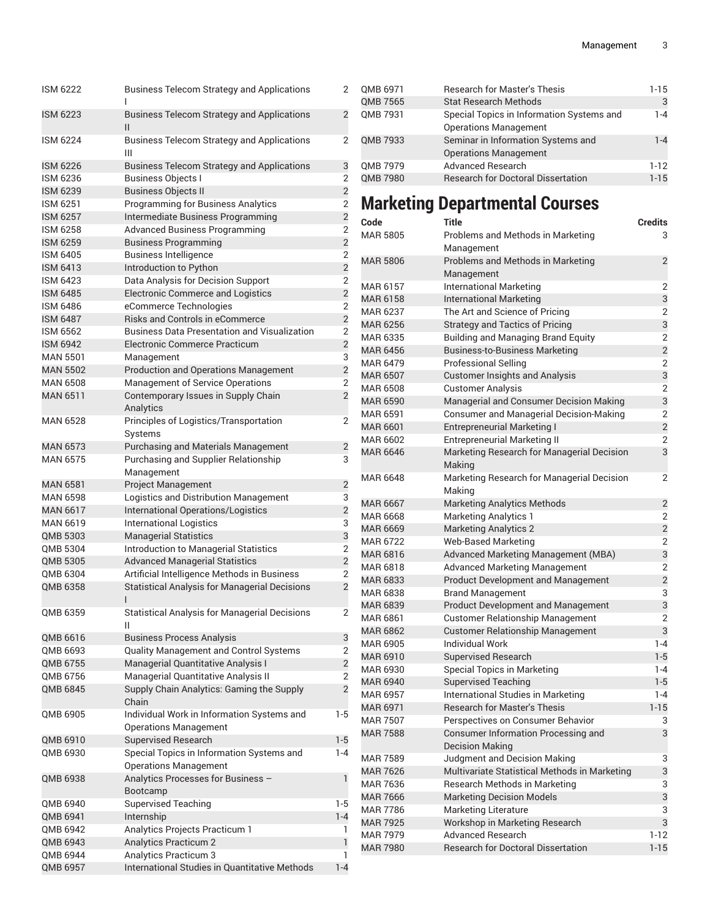| <b>ISM 6222</b> | <b>Business Telecom Strategy and Applications</b><br>ı                     | 2              |
|-----------------|----------------------------------------------------------------------------|----------------|
| <b>ISM 6223</b> | <b>Business Telecom Strategy and Applications</b><br>Ш                     | $\overline{2}$ |
| <b>ISM 6224</b> | <b>Business Telecom Strategy and Applications</b><br>Ш                     | 2              |
| <b>ISM 6226</b> | <b>Business Telecom Strategy and Applications</b>                          | 3              |
| <b>ISM 6236</b> | <b>Business Objects I</b>                                                  | 2              |
| <b>ISM 6239</b> | <b>Business Objects II</b>                                                 | $\overline{2}$ |
| <b>ISM 6251</b> | <b>Programming for Business Analytics</b>                                  | 2              |
| <b>ISM 6257</b> | Intermediate Business Programming                                          | $\overline{2}$ |
| <b>ISM 6258</b> | <b>Advanced Business Programming</b>                                       | 2              |
| <b>ISM 6259</b> | <b>Business Programming</b>                                                | $\overline{2}$ |
| <b>ISM 6405</b> | <b>Business Intelligence</b>                                               | 2              |
| <b>ISM 6413</b> | Introduction to Python                                                     | $\overline{2}$ |
| <b>ISM 6423</b> | Data Analysis for Decision Support                                         | 2              |
| <b>ISM 6485</b> | <b>Electronic Commerce and Logistics</b>                                   | $\overline{2}$ |
| <b>ISM 6486</b> | eCommerce Technologies                                                     | 2              |
| <b>ISM 6487</b> | <b>Risks and Controls in eCommerce</b>                                     | $\overline{2}$ |
| <b>ISM 6562</b> | <b>Business Data Presentation and Visualization</b>                        | $\overline{2}$ |
| <b>ISM 6942</b> | Electronic Commerce Practicum                                              | $\overline{2}$ |
| <b>MAN 5501</b> | Management                                                                 | 3              |
| <b>MAN 5502</b> |                                                                            | $\overline{2}$ |
|                 | <b>Production and Operations Management</b>                                |                |
| <b>MAN 6508</b> | <b>Management of Service Operations</b>                                    | 2              |
| <b>MAN 6511</b> | Contemporary Issues in Supply Chain<br>Analytics                           | $\overline{2}$ |
| <b>MAN 6528</b> | Principles of Logistics/Transportation<br>Systems                          | 2              |
| <b>MAN 6573</b> | <b>Purchasing and Materials Management</b>                                 | $\overline{2}$ |
| <b>MAN 6575</b> | Purchasing and Supplier Relationship<br>Management                         | 3              |
| <b>MAN 6581</b> | <b>Project Management</b>                                                  | $\overline{2}$ |
| <b>MAN 6598</b> | Logistics and Distribution Management                                      | 3              |
| <b>MAN 6617</b> | International Operations/Logistics                                         | $\overline{2}$ |
| <b>MAN 6619</b> | <b>International Logistics</b>                                             | 3              |
| <b>OMB 5303</b> | <b>Managerial Statistics</b>                                               | 3              |
| OMB 5304        | Introduction to Managerial Statistics                                      | 2              |
| QMB 5305        | <b>Advanced Managerial Statistics</b>                                      | $\overline{c}$ |
| QMB 6304        | Artificial Intelligence Methods in Business                                | 2              |
| QMB 6358        | <b>Statistical Analysis for Managerial Decisions</b><br>ı                  | $\overline{2}$ |
| QMB 6359        | <b>Statistical Analysis for Managerial Decisions</b><br>Ш                  | 2              |
| QMB 6616        | <b>Business Process Analysis</b>                                           | 3              |
| QMB 6693        | Quality Management and Control Systems                                     | 2              |
| QMB 6755        | Managerial Quantitative Analysis I                                         | $\overline{2}$ |
| QMB 6756        | Managerial Quantitative Analysis II                                        | $\overline{2}$ |
| QMB 6845        | Supply Chain Analytics: Gaming the Supply                                  | $\overline{2}$ |
|                 | Chain                                                                      |                |
| QMB 6905        | Individual Work in Information Systems and<br><b>Operations Management</b> | 1-5            |
| QMB 6910        | <b>Supervised Research</b>                                                 | $1-5$          |
| QMB 6930        | Special Topics in Information Systems and<br><b>Operations Management</b>  | 1-4            |
| QMB 6938        | Analytics Processes for Business -<br>Bootcamp                             | 1              |
| QMB 6940        | <b>Supervised Teaching</b>                                                 | 1-5            |
| QMB 6941        | Internship                                                                 | $1 - 4$        |
| QMB 6942        | Analytics Projects Practicum 1                                             | 1              |
| QMB 6943        | Analytics Practicum 2                                                      | 1              |
| QMB 6944        | Analytics Practicum 3                                                      | 1              |
| QMB 6957        | International Studies in Quantitative Methods                              | $1 - 4$        |
|                 |                                                                            |                |

| QMB 6971        | <b>Research for Master's Thesis</b>       | $1 - 15$ |
|-----------------|-------------------------------------------|----------|
| QMB 7565        | <b>Stat Research Methods</b>              | 3        |
| QMB 7931        | Special Topics in Information Systems and | 1-4      |
|                 | <b>Operations Management</b>              |          |
| QMB 7933        | Seminar in Information Systems and        | $1 - 4$  |
|                 | <b>Operations Management</b>              |          |
| QMB 7979        | <b>Advanced Research</b>                  | $1-12$   |
| <b>QMB 7980</b> | <b>Research for Doctoral Dissertation</b> | $1 - 15$ |
|                 |                                           |          |

# **Marketing Departmental Courses**

| Code            | Title                                                                | <b>Credits</b> |
|-----------------|----------------------------------------------------------------------|----------------|
| <b>MAR 5805</b> | Problems and Methods in Marketing<br>Management                      | 3              |
| <b>MAR 5806</b> | Problems and Methods in Marketing<br>Management                      | $\overline{2}$ |
| MAR 6157        | <b>International Marketing</b>                                       | 2              |
| MAR 6158        | <b>International Marketing</b>                                       | 3              |
| MAR 6237        | The Art and Science of Pricing                                       | 2              |
| <b>MAR 6256</b> | <b>Strategy and Tactics of Pricing</b>                               | 3              |
| MAR 6335        | <b>Building and Managing Brand Equity</b>                            | 2              |
| <b>MAR 6456</b> | <b>Business-to-Business Marketing</b>                                | $\overline{2}$ |
| MAR 6479        | Professional Selling                                                 | 2              |
| <b>MAR 6507</b> | <b>Customer Insights and Analysis</b>                                | 3              |
| MAR 6508        | <b>Customer Analysis</b>                                             | 2              |
| <b>MAR 6590</b> | Managerial and Consumer Decision Making                              | 3              |
| MAR 6591        | <b>Consumer and Managerial Decision-Making</b>                       | 2              |
| MAR 6601        | <b>Entrepreneurial Marketing I</b>                                   | $\overline{2}$ |
| MAR 6602        | <b>Entrepreneurial Marketing II</b>                                  | 2              |
| <b>MAR 6646</b> | Marketing Research for Managerial Decision<br>Making                 | 3              |
| MAR 6648        | Marketing Research for Managerial Decision<br>Making                 | 2              |
| <b>MAR 6667</b> | <b>Marketing Analytics Methods</b>                                   | $\overline{2}$ |
| MAR 6668        | <b>Marketing Analytics 1</b>                                         | 2              |
| <b>MAR 6669</b> | <b>Marketing Analytics 2</b>                                         | $\overline{2}$ |
| MAR 6722        | <b>Web-Based Marketing</b>                                           | 2              |
| MAR 6816        | Advanced Marketing Management (MBA)                                  | 3              |
| MAR 6818        | <b>Advanced Marketing Management</b>                                 | 2              |
| <b>MAR 6833</b> | <b>Product Development and Management</b>                            | $\overline{2}$ |
| MAR 6838        | <b>Brand Management</b>                                              | 3              |
| <b>MAR 6839</b> | <b>Product Development and Management</b>                            | 3              |
| MAR 6861        | <b>Customer Relationship Management</b>                              | 2              |
| <b>MAR 6862</b> | <b>Customer Relationship Management</b>                              | 3              |
| MAR 6905        | <b>Individual Work</b>                                               | $1 - 4$        |
| MAR 6910        | <b>Supervised Research</b>                                           | $1 - 5$        |
| MAR 6930        | <b>Special Topics in Marketing</b>                                   | $1 - 4$        |
| <b>MAR 6940</b> | <b>Supervised Teaching</b>                                           | $1 - 5$        |
| <b>MAR 6957</b> | International Studies in Marketing                                   | $1 - 4$        |
| <b>MAR 6971</b> | <b>Research for Master's Thesis</b>                                  | $1 - 15$       |
| <b>MAR 7507</b> | Perspectives on Consumer Behavior                                    | 3              |
| <b>MAR 7588</b> | <b>Consumer Information Processing and</b><br><b>Decision Making</b> | 3              |
| <b>MAR 7589</b> | Judgment and Decision Making                                         | 3              |
| <b>MAR 7626</b> | Multivariate Statistical Methods in Marketing                        | 3              |
| MAR 7636        | Research Methods in Marketing                                        | 3              |
| <b>MAR 7666</b> | <b>Marketing Decision Models</b>                                     | 3              |
| <b>MAR 7786</b> | <b>Marketing Literature</b>                                          | 3              |
| <b>MAR 7925</b> | Workshop in Marketing Research                                       | 3              |
| MAR 7979        | <b>Advanced Research</b>                                             | $1 - 12$       |
| <b>MAR 7980</b> | <b>Research for Doctoral Dissertation</b>                            | $1 - 15$       |
|                 |                                                                      |                |